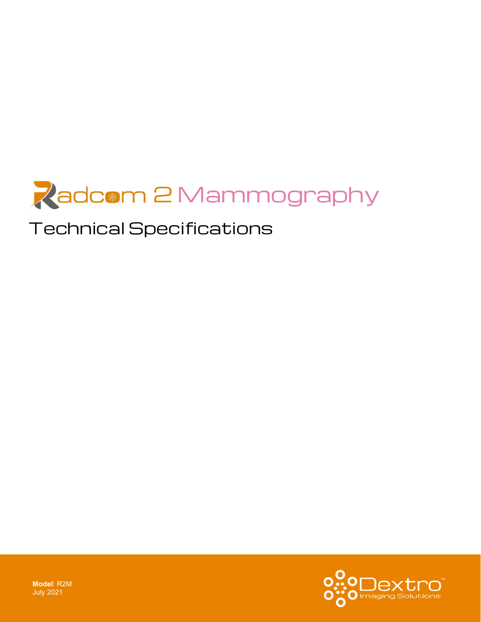

# Technical Specifications



**Model**: R2M July 2021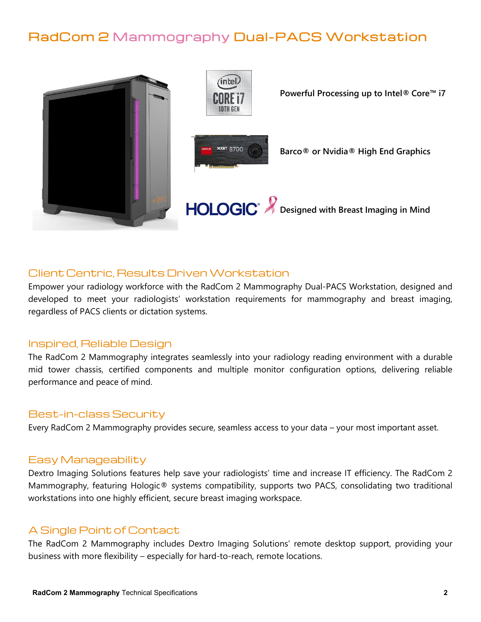# RadCom 2 Mammography Dual-PACS Workstation



# Client Centric, Results Driven Workstation

Empower your radiology workforce with the RadCom 2 Mammography Dual-PACS Workstation, designed and developed to meet your radiologists' workstation requirements for mammography and breast imaging, regardless of PACS clients or dictation systems.

#### Inspired, Reliable Design

The RadCom 2 Mammography integrates seamlessly into your radiology reading environment with a durable mid tower chassis, certified components and multiple monitor configuration options, delivering reliable performance and peace of mind.

# Best-in-class Security

Every RadCom 2 Mammography provides secure, seamless access to your data – your most important asset.

#### Easy Manageability

Dextro Imaging Solutions features help save your radiologists' time and increase IT efficiency. The RadCom 2 Mammography, featuring Hologic® systems compatibility, supports two PACS, consolidating two traditional workstations into one highly efficient, secure breast imaging workspace.

# A Single Point of Contact

The RadCom 2 Mammography includes Dextro Imaging Solutions' remote desktop support, providing your business with more flexibility – especially for hard-to-reach, remote locations.